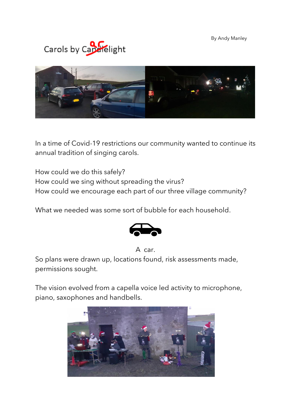By Andy Manley





In a time of Covid-19 restrictions our community wanted to continue its annual tradition of singing carols.

How could we do this safely? How could we sing without spreading the virus? How could we encourage each part of our three village community?

What we needed was some sort of bubble for each household.



## A car.

So plans were drawn up, locations found, risk assessments made, permissions sought.

The vision evolved from a capella voice led activity to microphone, piano, saxophones and handbells.

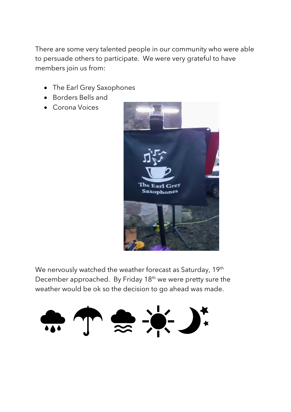There are some very talented people in our community who were able to persuade others to participate. We were very grateful to have members join us from:

- The Earl Grey Saxophones
- Borders Bells and
- Corona Voices



We nervously watched the weather forecast as Saturday, 19<sup>th</sup> December approached. By Friday 18th we were pretty sure the weather would be ok so the decision to go ahead was made.

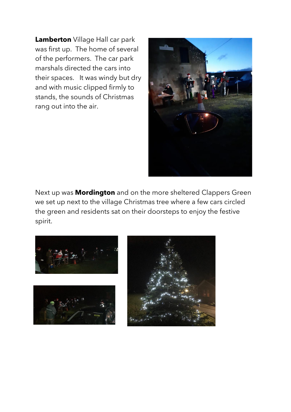**Lamberton** Village Hall car park was first up. The home of several of the performers. The car park marshals directed the cars into their spaces. It was windy but dry and with music clipped firmly to stands, the sounds of Christmas rang out into the air.



Next up was **Mordington** and on the more sheltered Clappers Green we set up next to the village Christmas tree where a few cars circled the green and residents sat on their doorsteps to enjoy the festive spirit.

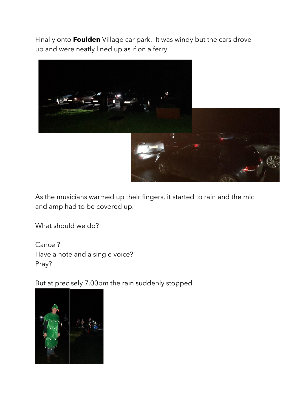Finally onto **Foulden** Village car park. It was windy but the cars drove up and were neatly lined up as if on a ferry.



As the musicians warmed up their fingers, it started to rain and the mic and amp had to be covered up.

What should we do?

Cancel? Have a note and a single voice? Pray?

But at precisely 7.00pm the rain suddenly stopped